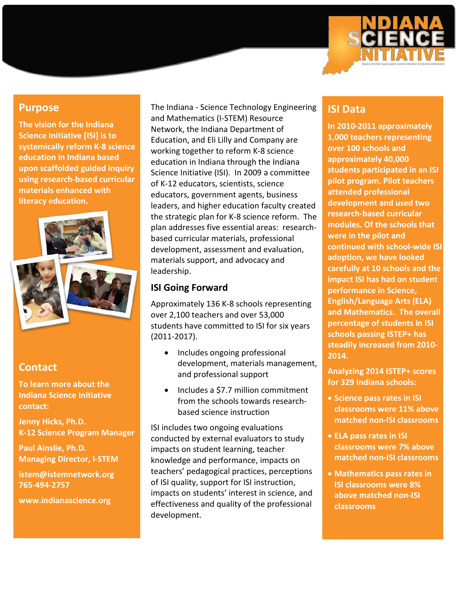

## **Purpose**

**The vision for the Indiana Science Initiative [ISI] is to systemically reform K-8 science education in Indiana based upon scaffolded guided inquiry using research-based curricular materials enhanced with literacy education.**



## **Contact**

**To learn more about the Indiana Science Initiative contact:**

**Jenny Hicks, Ph.D. K-12 Science Program Manager**

**Paul Ainslie, Ph.D. Managing Director, I-STEM**

**istem@istemnetwork.org 765-494-2757**

**www.indianascience.org**

The Indiana - Science Technology Engineering and Mathematics (I-STEM) Resource Network, the Indiana Department of Education, and Eli Lilly and Company are working together to reform K-8 science education in Indiana through the Indiana Science Initiative (ISI). In 2009 a committee of K-12 educators, scientists, science educators, government agents, business leaders, and higher education faculty created the strategic plan for K-8 science reform. The plan addresses five essential areas: researchbased curricular materials, professional development, assessment and evaluation, materials support, and advocacy and leadership.

# **ISI Going Forward**

Approximately 136 K-8 schools representing over 2,100 teachers and over 53,000 students have committed to ISI for six years (2011-2017).

- Includes ongoing professional development, materials management, and professional support
- Includes a \$7.7 million commitment from the schools towards researchbased science instruction

ISI includes two ongoing evaluations conducted by external evaluators to study impacts on student learning, teacher knowledge and performance, impacts on teachers' pedagogical practices, perceptions of ISI quality, support for ISI instruction, impacts on students' interest in science, and effectiveness and quality of the professional development.

# **ISI Data**

**In 2010-2011 approximately 1,000 teachers representing over 100 schools and approximately 40,000 students participated in an ISI pilot program. Pilot teachers attended professional development and used two research-based curricular modules. Of the schools that were in the pilot and continued with school-wide ISI adoption, we have looked carefully at 10 schools and the impact ISI has had on student performance in Science, English/Language Arts (ELA) and Mathematics. The overall percentage of students in ISI schools passing ISTEP+ has steadily increased from 2010- 2014.**

**Analyzing 2014 ISTEP+ scores for 329 Indiana schools:** 

- **Science pass rates in ISI classrooms were 11% above matched non-ISI classrooms**
- **ELA pass rates in ISI classrooms were 7% above matched non-ISI classrooms**
- **Mathematics pass rates in ISI classrooms were 8% above matched non-ISI classrooms**